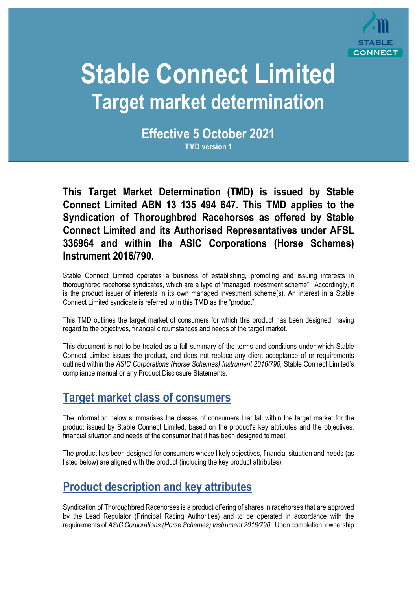

# **Stable Connect Limited Target market determination**

**Effective 5 October 2021 TMD version 1** 

**This Target Market Determination (TMD) is issued by Stable Connect Limited ABN 13 135 494 647. This TMD applies to the Syndication of Thoroughbred Racehorses as offered by Stable Connect Limited and its Authorised Representatives under AFSL 336964 and within the ASIC Corporations (Horse Schemes) Instrument 2016/790.** 

Stable Connect Limited operates a business of establishing, promoting and issuing interests in thoroughbred racehorse syndicates, which are a type of "managed investment scheme". Accordingly, it is the product issuer of interests in its own managed investment scheme(s). An interest in a Stable Connect Limited syndicate is referred to in this TMD as the "product".

This TMD outlines the target market of consumers for which this product has been designed, having regard to the objectives, financial circumstances and needs of the target market.

This document is not to be treated as a full summary of the terms and conditions under which Stable Connect Limited issues the product, and does not replace any client acceptance of or requirements outlined within the *ASIC Corporations (Horse Schemes) Instrument 2016/790*, Stable Connect Limited's compliance manual or any Product Disclosure Statements.

## **Target market class of consumers**

The information below summarises the classes of consumers that fall within the target market for the product issued by Stable Connect Limited, based on the product's key attributes and the objectives, financial situation and needs of the consumer that it has been designed to meet.

The product has been designed for consumers whose likely objectives, financial situation and needs (as listed below) are aligned with the product (including the key product attributes).

## **Product description and key attributes**

Syndication of Thoroughbred Racehorses is a product offering of shares in racehorses that are approved by the Lead Regulator (Principal Racing Authorities) and to be operated in accordance with the requirements of *ASIC Corporations (Horse Schemes) Instrument 2016/790*. Upon completion, ownership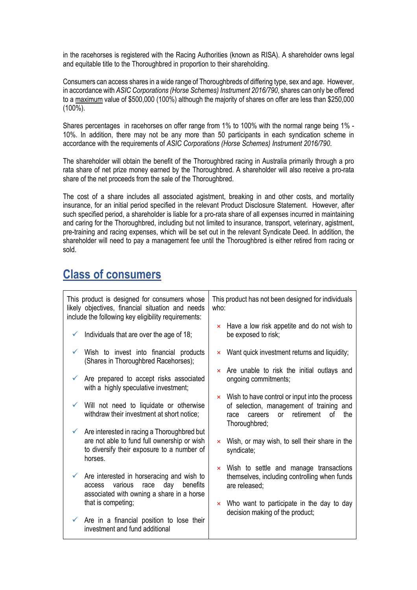in the racehorses is registered with the Racing Authorities (known as RISA). A shareholder owns legal and equitable title to the Thoroughbred in proportion to their shareholding.

Consumers can access shares in a wide range of Thoroughbreds of differing type, sex and age. However, in accordance with *ASIC Corporations (Horse Schemes) Instrument 2016/790*, shares can only be offered to a maximum value of \$500,000 (100%) although the majority of shares on offer are less than \$250,000 (100%).

Shares percentages in racehorses on offer range from 1% to 100% with the normal range being 1% - 10%. In addition, there may not be any more than 50 participants in each syndication scheme in accordance with the requirements of *ASIC Corporations (Horse Schemes) Instrument 2016/790*.

The shareholder will obtain the benefit of the Thoroughbred racing in Australia primarily through a pro rata share of net prize money earned by the Thoroughbred. A shareholder will also receive a pro-rata share of the net proceeds from the sale of the Thoroughbred.

The cost of a share includes all associated agistment, breaking in and other costs, and mortality insurance, for an initial period specified in the relevant Product Disclosure Statement. However, after such specified period, a shareholder is liable for a pro-rata share of all expenses incurred in maintaining and caring for the Thoroughbred, including but not limited to insurance, transport, veterinary, agistment, pre-training and racing expenses, which will be set out in the relevant Syndicate Deed. In addition, the shareholder will need to pay a management fee until the Thoroughbred is either retired from racing or sold.

## **Class of consumers**

| This product is designed for consumers whose<br>likely objectives, financial situation and needs<br>include the following key eligibility requirements:          | This product has not been designed for individuals<br>who:                                                                                                                      |
|------------------------------------------------------------------------------------------------------------------------------------------------------------------|---------------------------------------------------------------------------------------------------------------------------------------------------------------------------------|
| Individuals that are over the age of 18;<br>✓                                                                                                                    | $\times$ Have a low risk appetite and do not wish to<br>be exposed to risk;                                                                                                     |
| Wish to invest into financial products<br>(Shares in Thoroughbred Racehorses);                                                                                   | $\times$ Want quick investment returns and liquidity;                                                                                                                           |
| $\checkmark$ Are prepared to accept risks associated<br>with a highly speculative investment;                                                                    | $\times$ Are unable to risk the initial outlays and<br>ongoing commitments;                                                                                                     |
| $\checkmark$ Will not need to liquidate or otherwise<br>withdraw their investment at short notice;                                                               | $\times$ Wish to have control or input into the process<br>of selection, management of training and<br>retirement<br>0f<br>the<br><b>or</b><br>careers<br>race<br>Thoroughbred; |
| $\checkmark$ Are interested in racing a Thoroughbred but<br>are not able to fund full ownership or wish<br>to diversify their exposure to a number of<br>horses. | $\times$ Wish, or may wish, to sell their share in the<br>syndicate;                                                                                                            |
| $\checkmark$ Are interested in horseracing and wish to<br>various<br>day<br>benefits<br>race<br>access<br>associated with owning a share in a horse              | $\times$ Wish to settle and manage transactions<br>themselves, including controlling when funds<br>are released;                                                                |
| that is competing;                                                                                                                                               | $\times$ Who want to participate in the day to day<br>decision making of the product;                                                                                           |
| $\checkmark$ Are in a financial position to lose their<br>investment and fund additional                                                                         |                                                                                                                                                                                 |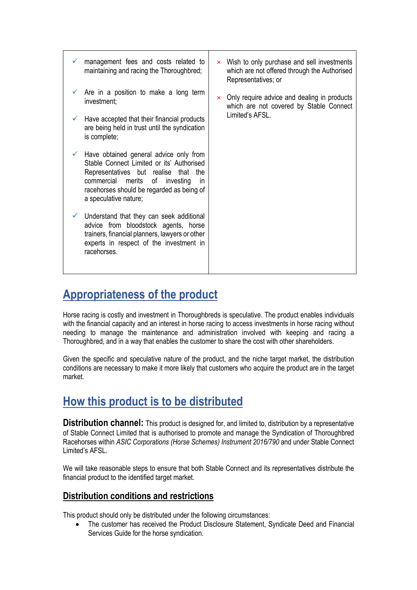- management fees and costs related to maintaining and racing the Thoroughbred;
- Are in a position to make a long term investment;
- $\checkmark$  Have accepted that their financial products are being held in trust until the syndication is complete;
- $\checkmark$  Have obtained general advice only from Stable Connect Limited or its' Authorised Representatives but realise that the commercial merits of investing in racehorses should be regarded as being of a speculative nature;
- $\checkmark$  Understand that they can seek additional advice from bloodstock agents, horse trainers, financial planners, lawyers or other experts in respect of the investment in racehorses.
- $\times$  Wish to only purchase and sell investments which are not offered through the Authorised Representatives; or
- $\times$  Only require advice and dealing in products which are not covered by Stable Connect Limited's AFSL.

## **Appropriateness of the product**

Horse racing is costly and investment in Thoroughbreds is speculative. The product enables individuals with the financial capacity and an interest in horse racing to access investments in horse racing without needing to manage the maintenance and administration involved with keeping and racing a Thoroughbred, and in a way that enables the customer to share the cost with other shareholders.

Given the specific and speculative nature of the product, and the niche target market, the distribution conditions are necessary to make it more likely that customers who acquire the product are in the target market.

## **How this product is to be distributed**

**Distribution channel:** This product is designed for, and limited to, distribution by a representative of Stable Connect Limited that is authorised to promote and manage the Syndication of Thoroughbred Racehorses within *ASIC Corporations (Horse Schemes) Instrument 2016/790* and under Stable Connect Limited's AFSL.

We will take reasonable steps to ensure that both Stable Connect and its representatives distribute the financial product to the identified target market.

### **Distribution conditions and restrictions**

This product should only be distributed under the following circumstances:

 The customer has received the Product Disclosure Statement, Syndicate Deed and Financial Services Guide for the horse syndication.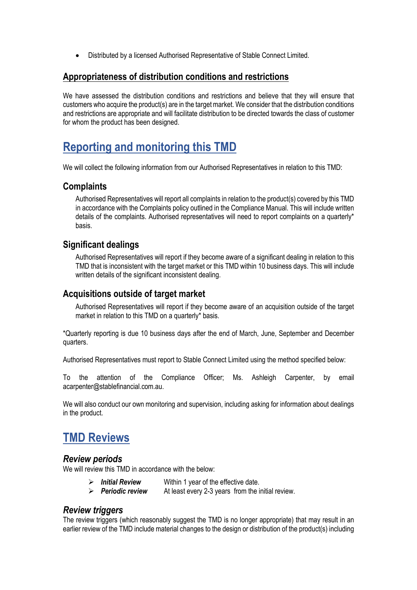Distributed by a licensed Authorised Representative of Stable Connect Limited.

#### **Appropriateness of distribution conditions and restrictions**

We have assessed the distribution conditions and restrictions and believe that they will ensure that customers who acquire the product(s) are in the target market. We consider that the distribution conditions and restrictions are appropriate and will facilitate distribution to be directed towards the class of customer for whom the product has been designed.

## **Reporting and monitoring this TMD**

We will collect the following information from our Authorised Representatives in relation to this TMD:

#### **Complaints**

Authorised Representatives will report all complaints in relation to the product(s) covered by this TMD in accordance with the Complaints policy outlined in the Compliance Manual. This will include written details of the complaints. Authorised representatives will need to report complaints on a quarterly\* basis.

### **Significant dealings**

Authorised Representatives will report if they become aware of a significant dealing in relation to this TMD that is inconsistent with the target market or this TMD within 10 business days. This will include written details of the significant inconsistent dealing.

#### **Acquisitions outside of target market**

Authorised Representatives will report if they become aware of an acquisition outside of the target market in relation to this TMD on a quarterly\* basis.

\*Quarterly reporting is due 10 business days after the end of March, June, September and December quarters.

Authorised Representatives must report to Stable Connect Limited using the method specified below:

To the attention of the Compliance Officer; Ms. Ashleigh Carpenter, by email acarpenter@stablefinancial.com.au.

We will also conduct our own monitoring and supervision, including asking for information about dealings in the product.

## **TMD Reviews**

#### *Review periods*

We will review this TMD in accordance with the below:

- *Initial Review* Within 1 year of the effective date.
- *Periodic review* At least every 2-3 years from the initial review.

#### *Review triggers*

The review triggers (which reasonably suggest the TMD is no longer appropriate) that may result in an earlier review of the TMD include material changes to the design or distribution of the product(s) including